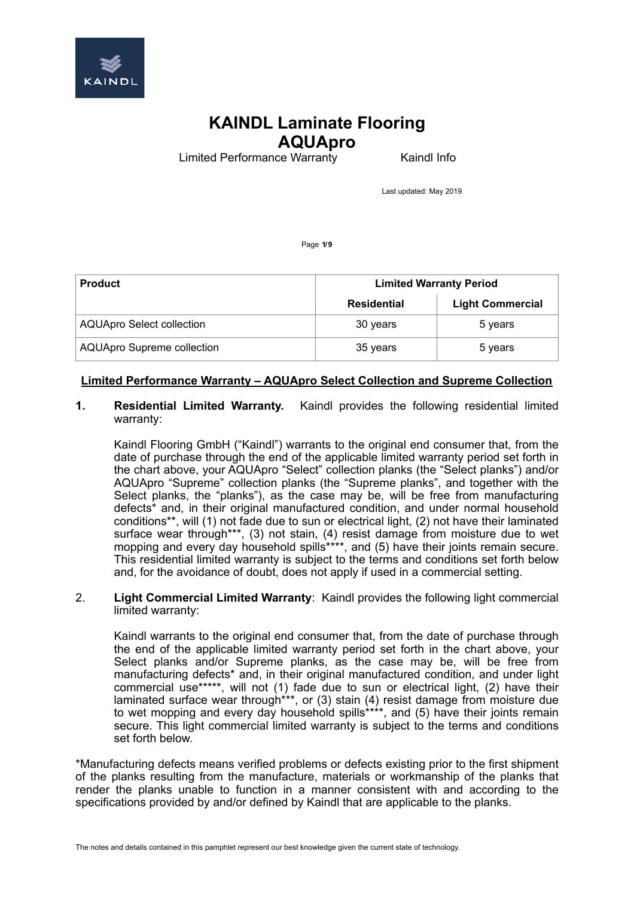

Limited Performance Warranty **Kaindl Info** 

Last updated: May 2019

Page **1/9**

| <b>Product</b>                    | <b>Limited Warranty Period</b> |                         |
|-----------------------------------|--------------------------------|-------------------------|
|                                   | Residential                    | <b>Light Commercial</b> |
| <b>AQUApro Select collection</b>  | 30 years                       | 5 years                 |
| <b>AQUApro Supreme collection</b> | 35 years                       | 5 years                 |

### **Limited Performance Warranty – AQUApro Select Collection and Supreme Collection**

#### **1. Residential Limited Warranty.** Kaindl provides the following residential limited warranty:

Kaindl Flooring GmbH ("Kaindl") warrants to the original end consumer that, from the date of purchase through the end of the applicable limited warranty period set forth in the chart above, your AQUApro "Select" collection planks (the "Select planks") and/or AQUApro "Supreme" collection planks (the "Supreme planks", and together with the Select planks, the "planks"), as the case may be, will be free from manufacturing defects\* and, in their original manufactured condition, and under normal household conditions\*\*, will (1) not fade due to sun or electrical light, (2) not have their laminated surface wear through\*\*\*, (3) not stain, (4) resist damage from moisture due to wet mopping and every day household spills<sup>\*\*\*\*</sup>, and (5) have their joints remain secure. This residential limited warranty is subject to the terms and conditions set forth below and, for the avoidance of doubt, does not apply if used in a commercial setting.

#### 2. **Light Commercial Limited Warranty**: Kaindl provides the following light commercial limited warranty:

Kaindl warrants to the original end consumer that, from the date of purchase through the end of the applicable limited warranty period set forth in the chart above, your Select planks and/or Supreme planks, as the case may be, will be free from manufacturing defects\* and, in their original manufactured condition, and under light commercial use\*\*\*\*\*, will not (1) fade due to sun or electrical light, (2) have their laminated surface wear through\*\*\*, or (3) stain (4) resist damage from moisture due to wet mopping and every day household spills\*\*\*\*, and (5) have their joints remain secure. This light commercial limited warranty is subject to the terms and conditions set forth below.

\*Manufacturing defects means verified problems or defects existing prior to the first shipment of the planks resulting from the manufacture, materials or workmanship of the planks that render the planks unable to function in a manner consistent with and according to the specifications provided by and/or defined by Kaindl that are applicable to the planks.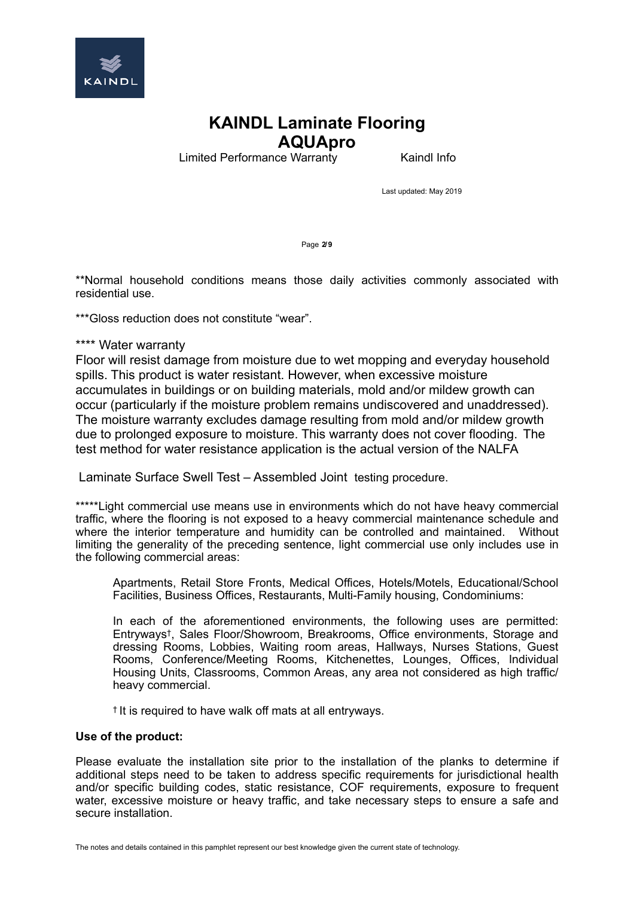

Limited Performance Warranty **Kaindl Info** 

Last updated: May 2019

Page **2/9**

\*\*Normal household conditions means those daily activities commonly associated with residential use.

\*\*\*Gloss reduction does not constitute "wear".

### \*\*\*\* Water warranty

Floor will resist damage from moisture due to wet mopping and everyday household spills. This product is water resistant. However, when excessive moisture accumulates in buildings or on building materials, mold and/or mildew growth can occur (particularly if the moisture problem remains undiscovered and unaddressed). The moisture warranty excludes damage resulting from mold and/or mildew growth due to prolonged exposure to moisture. This warranty does not cover flooding. The test method for water resistance application is the actual version of the NALFA

Laminate Surface Swell Test – Assembled Joint testing procedure.

\*\*\*\*\*Light commercial use means use in environments which do not have heavy commercial traffic, where the flooring is not exposed to a heavy commercial maintenance schedule and where the interior temperature and humidity can be controlled and maintained. Without limiting the generality of the preceding sentence, light commercial use only includes use in the following commercial areas:

Apartments, Retail Store Fronts, Medical Offices, Hotels/Motels, Educational/School Facilities, Business Offices, Restaurants, Multi-Family housing, Condominiums:

In each of the aforementioned environments, the following uses are permitted: Entryways†, Sales Floor/Showroom, Breakrooms, Office environments, Storage and dressing Rooms, Lobbies, Waiting room areas, Hallways, Nurses Stations, Guest Rooms, Conference/Meeting Rooms, Kitchenettes, Lounges, Offices, Individual Housing Units, Classrooms, Common Areas, any area not considered as high traffic/ heavy commercial.

† It is required to have walk off mats at all entryways.

#### **Use of the product:**

Please evaluate the installation site prior to the installation of the planks to determine if additional steps need to be taken to address specific requirements for jurisdictional health and/or specific building codes, static resistance, COF requirements, exposure to frequent water, excessive moisture or heavy traffic, and take necessary steps to ensure a safe and secure installation.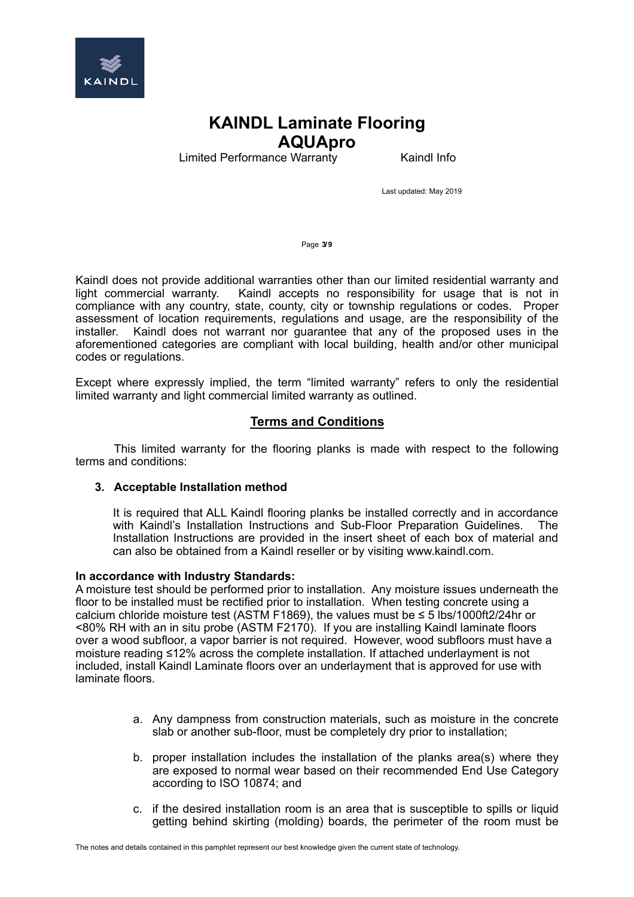

Limited Performance Warranty **Kaindl Info** 

Last updated: May 2019

Page **3/9**

Kaindl does not provide additional warranties other than our limited residential warranty and light commercial warranty. Kaindl accepts no responsibility for usage that is not in compliance with any country, state, county, city or township regulations or codes. Proper assessment of location requirements, regulations and usage, are the responsibility of the installer. Kaindl does not warrant nor guarantee that any of the proposed uses in the aforementioned categories are compliant with local building, health and/or other municipal codes or regulations.

Except where expressly implied, the term "limited warranty" refers to only the residential limited warranty and light commercial limited warranty as outlined.

### **Terms and Conditions**

This limited warranty for the flooring planks is made with respect to the following terms and conditions:

#### **3. Acceptable Installation method**

It is required that ALL Kaindl flooring planks be installed correctly and in accordance with Kaindl's Installation Instructions and Sub-Floor Preparation Guidelines. The Installation Instructions are provided in the insert sheet of each box of material and can also be obtained from a Kaindl reseller or by visiting www.kaindl.com.

#### **In accordance with Industry Standards:**

A moisture test should be performed prior to installation. Any moisture issues underneath the floor to be installed must be rectified prior to installation. When testing concrete using a calcium chloride moisture test (ASTM F1869), the values must be  $\leq 5$  lbs/1000ft2/24hr or <80% RH with an in situ probe (ASTM F2170). If you are installing Kaindl laminate floors over a wood subfloor, a vapor barrier is not required. However, wood subfloors must have a moisture reading ≤12% across the complete installation. If attached underlayment is not included, install Kaindl Laminate floors over an underlayment that is approved for use with laminate floors.

- a. Any dampness from construction materials, such as moisture in the concrete slab or another sub-floor, must be completely dry prior to installation;
- b. proper installation includes the installation of the planks area(s) where they are exposed to normal wear based on their recommended End Use Category according to ISO 10874; and
- c. if the desired installation room is an area that is susceptible to spills or liquid getting behind skirting (molding) boards, the perimeter of the room must be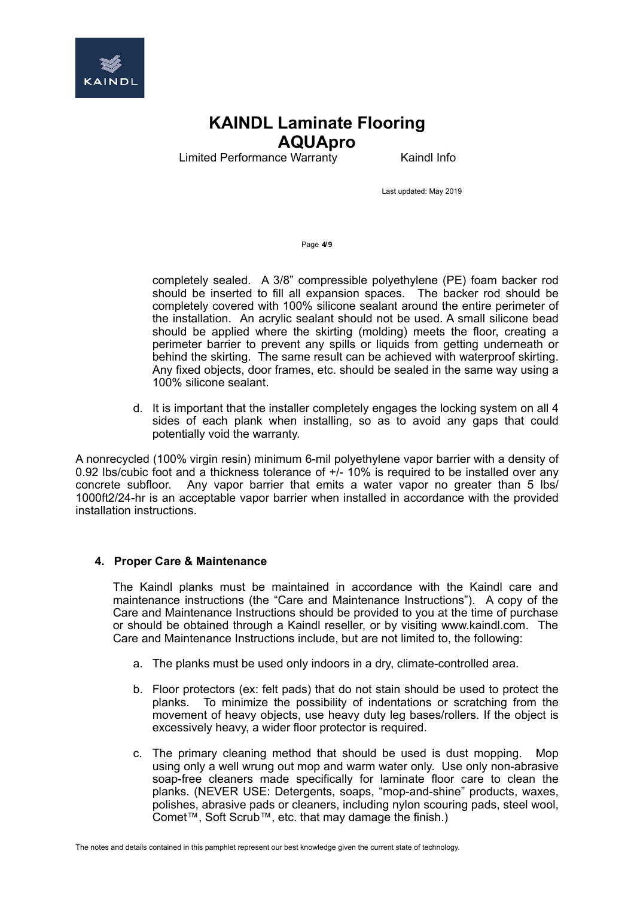

Limited Performance Warranty **Kaindl Info** 

Last updated: May 2019

Page **4/9**

completely sealed. A 3/8" compressible polyethylene (PE) foam backer rod should be inserted to fill all expansion spaces. The backer rod should be completely covered with 100% silicone sealant around the entire perimeter of the installation. An acrylic sealant should not be used. A small silicone bead should be applied where the skirting (molding) meets the floor, creating a perimeter barrier to prevent any spills or liquids from getting underneath or behind the skirting. The same result can be achieved with waterproof skirting. Any fixed objects, door frames, etc. should be sealed in the same way using a 100% silicone sealant.

d. It is important that the installer completely engages the locking system on all 4 sides of each plank when installing, so as to avoid any gaps that could potentially void the warranty.

A nonrecycled (100% virgin resin) minimum 6-mil polyethylene vapor barrier with a density of 0.92 lbs/cubic foot and a thickness tolerance of +/- 10% is required to be installed over any concrete subfloor. Any vapor barrier that emits a water vapor no greater than 5 lbs/ 1000ft2/24-hr is an acceptable vapor barrier when installed in accordance with the provided installation instructions.

#### **4. Proper Care & Maintenance**

The Kaindl planks must be maintained in accordance with the Kaindl care and maintenance instructions (the "Care and Maintenance Instructions"). A copy of the Care and Maintenance Instructions should be provided to you at the time of purchase or should be obtained through a Kaindl reseller, or by visiting www.kaindl.com. The Care and Maintenance Instructions include, but are not limited to, the following:

- a. The planks must be used only indoors in a dry, climate-controlled area.
- b. Floor protectors (ex: felt pads) that do not stain should be used to protect the planks. To minimize the possibility of indentations or scratching from the movement of heavy objects, use heavy duty leg bases/rollers. If the object is excessively heavy, a wider floor protector is required.
- c. The primary cleaning method that should be used is dust mopping. Mop using only a well wrung out mop and warm water only. Use only non-abrasive soap-free cleaners made specifically for laminate floor care to clean the planks. (NEVER USE: Detergents, soaps, "mop-and-shine" products, waxes, polishes, abrasive pads or cleaners, including nylon scouring pads, steel wool, Comet™, Soft Scrub™, etc. that may damage the finish.)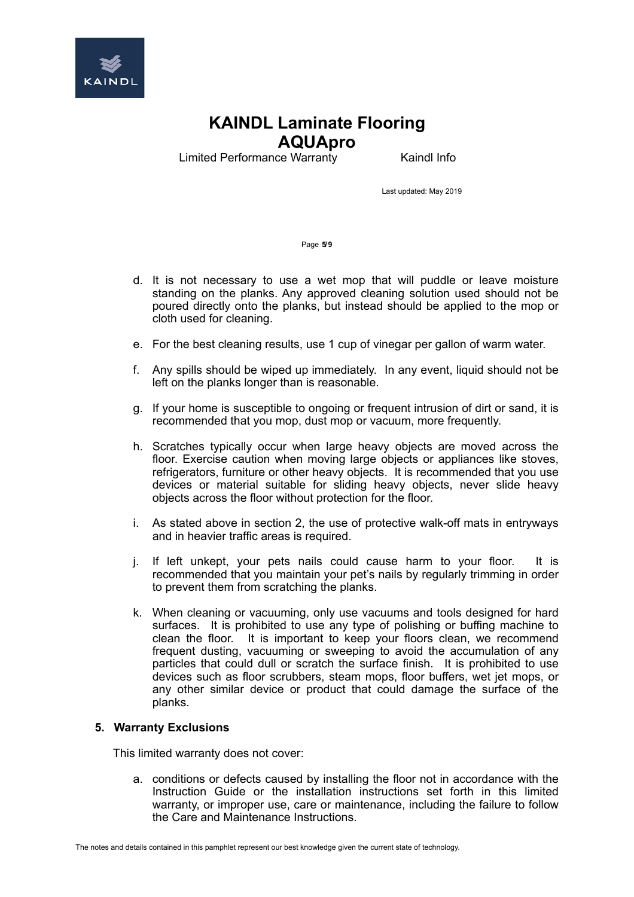

Limited Performance Warranty **Kaindl Info** 

Last updated: May 2019

Page **5/9**

- d. It is not necessary to use a wet mop that will puddle or leave moisture standing on the planks. Any approved cleaning solution used should not be poured directly onto the planks, but instead should be applied to the mop or cloth used for cleaning.
- e. For the best cleaning results, use 1 cup of vinegar per gallon of warm water.
- f. Any spills should be wiped up immediately. In any event, liquid should not be left on the planks longer than is reasonable.
- g. If your home is susceptible to ongoing or frequent intrusion of dirt or sand, it is recommended that you mop, dust mop or vacuum, more frequently.
- h. Scratches typically occur when large heavy objects are moved across the floor. Exercise caution when moving large objects or appliances like stoves, refrigerators, furniture or other heavy objects. It is recommended that you use devices or material suitable for sliding heavy objects, never slide heavy objects across the floor without protection for the floor.
- i. As stated above in section 2, the use of protective walk-off mats in entryways and in heavier traffic areas is required.
- j. If left unkept, your pets nails could cause harm to your floor. It is recommended that you maintain your pet's nails by regularly trimming in order to prevent them from scratching the planks.
- k. When cleaning or vacuuming, only use vacuums and tools designed for hard surfaces. It is prohibited to use any type of polishing or buffing machine to clean the floor. It is important to keep your floors clean, we recommend frequent dusting, vacuuming or sweeping to avoid the accumulation of any particles that could dull or scratch the surface finish. It is prohibited to use devices such as floor scrubbers, steam mops, floor buffers, wet jet mops, or any other similar device or product that could damage the surface of the planks.

#### **5. Warranty Exclusions**

This limited warranty does not cover:

a. conditions or defects caused by installing the floor not in accordance with the Instruction Guide or the installation instructions set forth in this limited warranty, or improper use, care or maintenance, including the failure to follow the Care and Maintenance Instructions.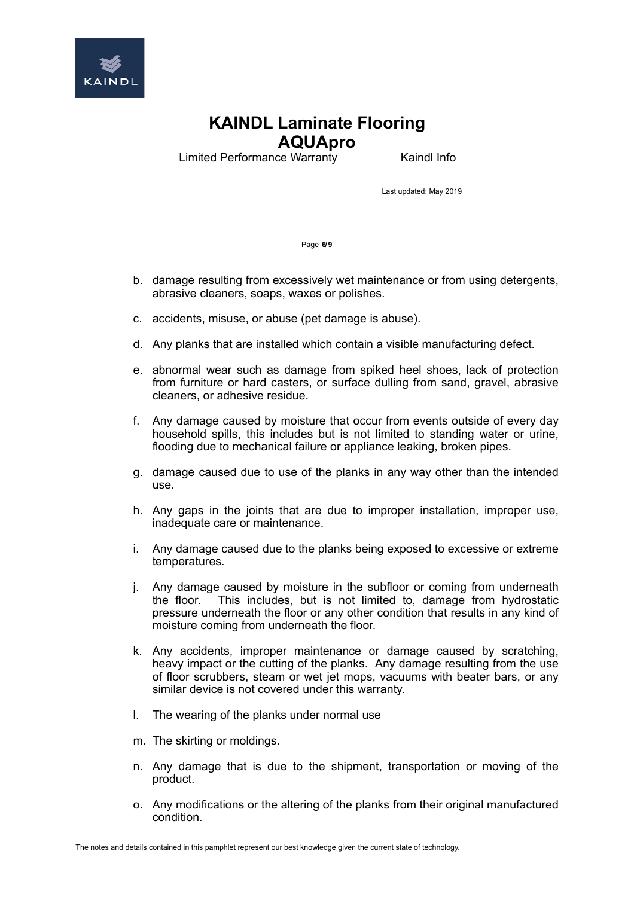

Limited Performance Warranty **Kaindl Info** 

Last updated: May 2019

Page **6/9**

- b. damage resulting from excessively wet maintenance or from using detergents, abrasive cleaners, soaps, waxes or polishes.
- c. accidents, misuse, or abuse (pet damage is abuse).
- d. Any planks that are installed which contain a visible manufacturing defect.
- e. abnormal wear such as damage from spiked heel shoes, lack of protection from furniture or hard casters, or surface dulling from sand, gravel, abrasive cleaners, or adhesive residue.
- f. Any damage caused by moisture that occur from events outside of every day household spills, this includes but is not limited to standing water or urine, flooding due to mechanical failure or appliance leaking, broken pipes.
- g. damage caused due to use of the planks in any way other than the intended use.
- h. Any gaps in the joints that are due to improper installation, improper use, inadequate care or maintenance.
- i. Any damage caused due to the planks being exposed to excessive or extreme temperatures.
- j. Any damage caused by moisture in the subfloor or coming from underneath the floor. This includes, but is not limited to, damage from hydrostatic This includes, but is not limited to, damage from hydrostatic pressure underneath the floor or any other condition that results in any kind of moisture coming from underneath the floor.
- k. Any accidents, improper maintenance or damage caused by scratching, heavy impact or the cutting of the planks. Any damage resulting from the use of floor scrubbers, steam or wet jet mops, vacuums with beater bars, or any similar device is not covered under this warranty.
- l. The wearing of the planks under normal use
- m. The skirting or moldings.
- n. Any damage that is due to the shipment, transportation or moving of the product.
- o. Any modifications or the altering of the planks from their original manufactured condition.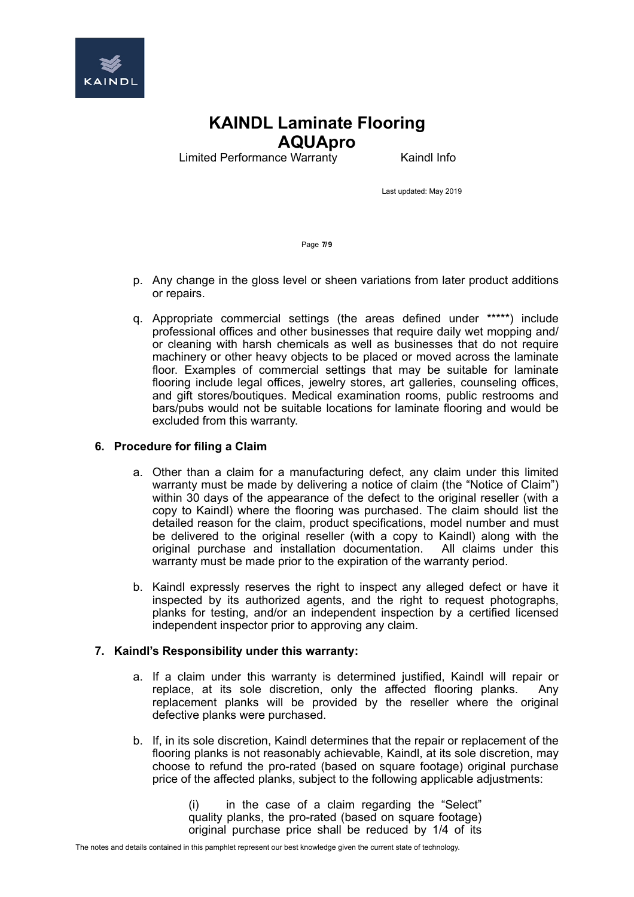

Limited Performance Warranty **Kaindl Info** 

Last updated: May 2019

Page **7/9**

- p. Any change in the gloss level or sheen variations from later product additions or repairs.
- q. Appropriate commercial settings (the areas defined under \*\*\*\*\*) include professional offices and other businesses that require daily wet mopping and/ or cleaning with harsh chemicals as well as businesses that do not require machinery or other heavy objects to be placed or moved across the laminate floor. Examples of commercial settings that may be suitable for laminate flooring include legal offices, jewelry stores, art galleries, counseling offices, and gift stores/boutiques. Medical examination rooms, public restrooms and bars/pubs would not be suitable locations for laminate flooring and would be excluded from this warranty.

### **6. Procedure for filing a Claim**

- a. Other than a claim for a manufacturing defect, any claim under this limited warranty must be made by delivering a notice of claim (the "Notice of Claim") within 30 days of the appearance of the defect to the original reseller (with a copy to Kaindl) where the flooring was purchased. The claim should list the detailed reason for the claim, product specifications, model number and must be delivered to the original reseller (with a copy to Kaindl) along with the original purchase and installation documentation. All claims under this warranty must be made prior to the expiration of the warranty period.
- b. Kaindl expressly reserves the right to inspect any alleged defect or have it inspected by its authorized agents, and the right to request photographs, planks for testing, and/or an independent inspection by a certified licensed independent inspector prior to approving any claim.

#### **7. Kaindl's Responsibility under this warranty:**

- a. If a claim under this warranty is determined justified, Kaindl will repair or replace, at its sole discretion, only the affected flooring planks. Any replacement planks will be provided by the reseller where the original defective planks were purchased.
- b. If, in its sole discretion, Kaindl determines that the repair or replacement of the flooring planks is not reasonably achievable, Kaindl, at its sole discretion, may choose to refund the pro-rated (based on square footage) original purchase price of the affected planks, subject to the following applicable adjustments:

(i) in the case of a claim regarding the "Select" quality planks, the pro-rated (based on square footage) original purchase price shall be reduced by 1/4 of its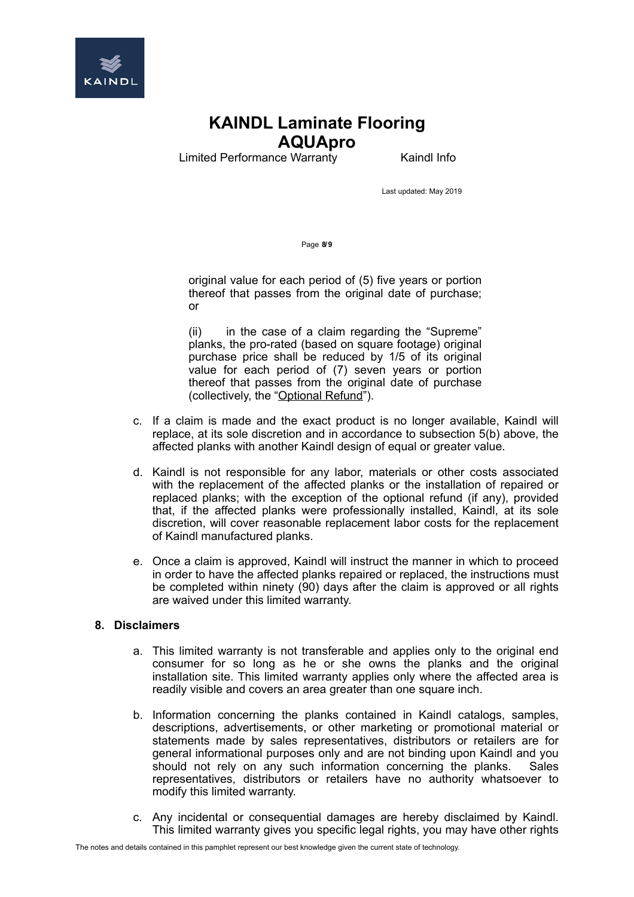

Limited Performance Warranty **Kaindl Info** 

Last updated: May 2019

Page **8/9**

original value for each period of (5) five years or portion thereof that passes from the original date of purchase; or

(ii) in the case of a claim regarding the "Supreme" planks, the pro-rated (based on square footage) original purchase price shall be reduced by 1/5 of its original value for each period of (7) seven years or portion thereof that passes from the original date of purchase (collectively, the "Optional Refund").

- c. If a claim is made and the exact product is no longer available, Kaindl will replace, at its sole discretion and in accordance to subsection 5(b) above, the affected planks with another Kaindl design of equal or greater value.
- d. Kaindl is not responsible for any labor, materials or other costs associated with the replacement of the affected planks or the installation of repaired or replaced planks; with the exception of the optional refund (if any), provided that, if the affected planks were professionally installed, Kaindl, at its sole discretion, will cover reasonable replacement labor costs for the replacement of Kaindl manufactured planks.
- e. Once a claim is approved, Kaindl will instruct the manner in which to proceed in order to have the affected planks repaired or replaced, the instructions must be completed within ninety (90) days after the claim is approved or all rights are waived under this limited warranty.

#### **8. Disclaimers**

- a. This limited warranty is not transferable and applies only to the original end consumer for so long as he or she owns the planks and the original installation site. This limited warranty applies only where the affected area is readily visible and covers an area greater than one square inch.
- b. Information concerning the planks contained in Kaindl catalogs, samples, descriptions, advertisements, or other marketing or promotional material or statements made by sales representatives, distributors or retailers are for general informational purposes only and are not binding upon Kaindl and you should not rely on any such information concerning the planks. Sales representatives, distributors or retailers have no authority whatsoever to modify this limited warranty.
- c. Any incidental or consequential damages are hereby disclaimed by Kaindl. This limited warranty gives you specific legal rights, you may have other rights